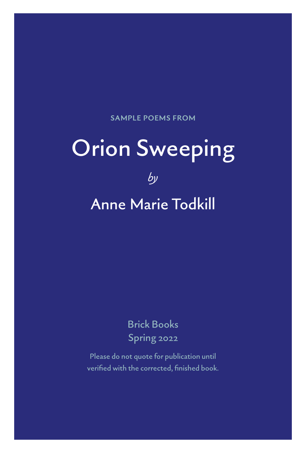**SAMPLE POEMS FROM**

# Orion Sweeping

*by*

# Anne Marie Todkill

Brick Books Spring 2022

Please do not quote for publication until verified with the corrected, finished book.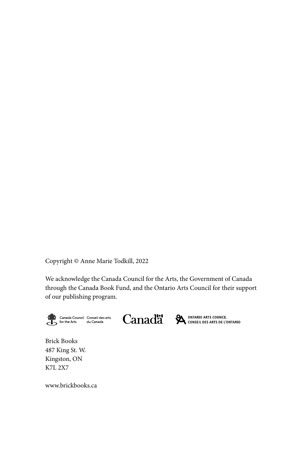Copyright © Anne Marie Todkill, 2022

We acknowledge the Canada Council for the Arts, the Government of Canada through the Canada Book Fund, and the Ontario Arts Council for their support of our publishing program.



Canadä<sup>\*</sup>

ONTARIO ARTS COUNCIL CONSEIL DES ARTS DE L'ONTARIO

Brick Books 487 King St. W. Kingston, ON K7L 2X7

www.brickbooks.ca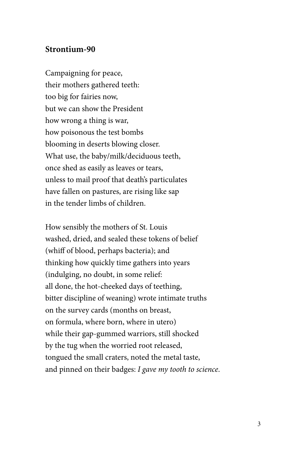#### **Strontium-90**

Campaigning for peace, their mothers gathered teeth: too big for fairies now, but we can show the President how wrong a thing is war, how poisonous the test bombs blooming in deserts blowing closer. What use, the baby/milk/deciduous teeth, once shed as easily as leaves or tears, unless to mail proof that death's particulates have fallen on pastures, are rising like sap in the tender limbs of children.

How sensibly the mothers of St. Louis washed, dried, and sealed these tokens of belief (whiff of blood, perhaps bacteria); and thinking how quickly time gathers into years (indulging, no doubt, in some relief: all done, the hot-cheeked days of teething, bitter discipline of weaning) wrote intimate truths on the survey cards (months on breast, on formula, where born, where in utero) while their gap-gummed warriors, still shocked by the tug when the worried root released, tongued the small craters, noted the metal taste, and pinned on their badges: *I gave my tooth to science*.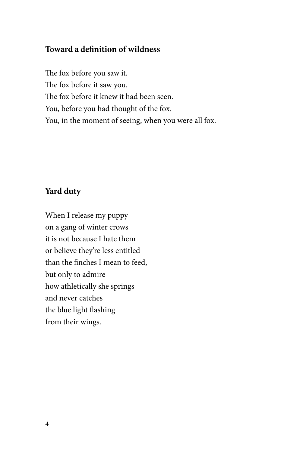## **Toward a definition of wildness**

The fox before you saw it. The fox before it saw you. The fox before it knew it had been seen. You, before you had thought of the fox. You, in the moment of seeing, when you were all fox.

### **Yard duty**

When I release my puppy on a gang of winter crows it is not because I hate them or believe they're less entitled than the finches I mean to feed, but only to admire how athletically she springs and never catches the blue light flashing from their wings.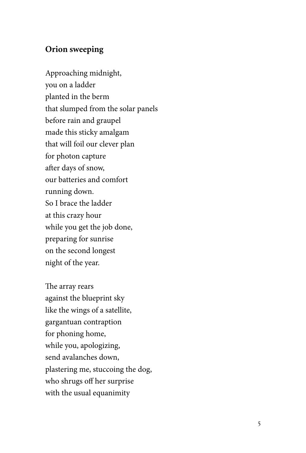#### **Orion sweeping**

Approaching midnight, you on a ladder planted in the berm that slumped from the solar panels before rain and graupel made this sticky amalgam that will foil our clever plan for photon capture after days of snow, our batteries and comfort running down. So I brace the ladder at this crazy hour while you get the job done, preparing for sunrise on the second longest night of the year.

The array rears against the blueprint sky like the wings of a satellite, gargantuan contraption for phoning home, while you, apologizing, send avalanches down, plastering me, stuccoing the dog, who shrugs off her surprise with the usual equanimity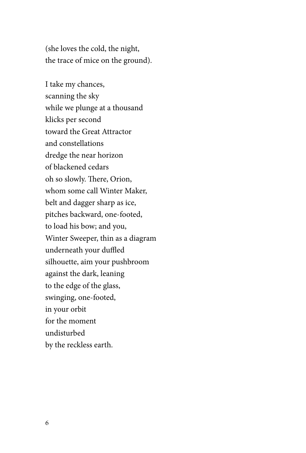(she loves the cold, the night, the trace of mice on the ground).

I take my chances, scanning the sky while we plunge at a thousand klicks per second toward the Great Attractor and constellations dredge the near horizon of blackened cedars oh so slowly. There, Orion, whom some call Winter Maker, belt and dagger sharp as ice, pitches backward, one-footed, to load his bow; and you, Winter Sweeper, thin as a diagram underneath your duffled silhouette, aim your pushbroom against the dark, leaning to the edge of the glass, swinging, one-footed, in your orbit for the moment undisturbed by the reckless earth.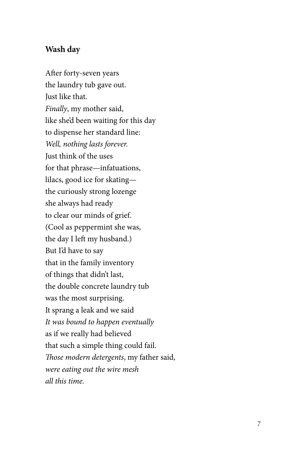#### **Wash day**

After forty-seven years the laundry tub gave out. Just like that. *Finally*, my mother said, like she'd been waiting for this day to dispense her standard line: *Well, nothing lasts forever.* Just think of the uses for that phrase—infatuations, lilacs, good ice for skating the curiously strong lozenge she always had ready to clear our minds of grief. (Cool as peppermint she was, the day I left my husband.) But I'd have to say that in the family inventory of things that didn't last, the double concrete laundry tub was the most surprising. It sprang a leak and we said *It was bound to happen eventually* as if we really had believed that such a simple thing could fail. *Those modern detergents*, my father said, *were eating out the wire mesh all this time.*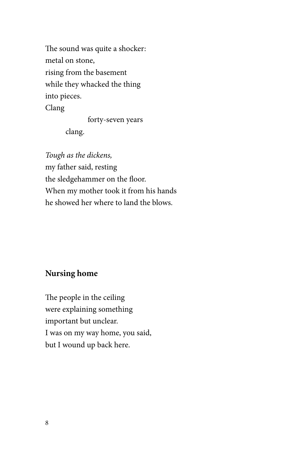The sound was quite a shocker: metal on stone, rising from the basement while they whacked the thing into pieces. Clang forty-seven years

clang.

*Tough as the dickens,* my father said, resting the sledgehammer on the floor. When my mother took it from his hands he showed her where to land the blows.

#### **Nursing home**

The people in the ceiling were explaining something important but unclear. I was on my way home, you said, but I wound up back here.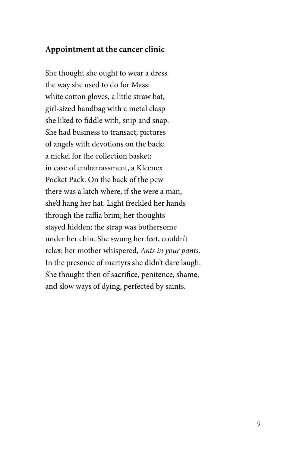#### **Appointment at the cancer clinic**

She thought she ought to wear a dress the way she used to do for Mass: white cotton gloves, a little straw hat, girl-sized handbag with a metal clasp she liked to fiddle with, snip and snap. She had business to transact; pictures of angels with devotions on the back; a nickel for the collection basket; in case of embarrassment, a Kleenex Pocket Pack. On the back of the pew there was a latch where, if she were a man, she'd hang her hat. Light freckled her hands through the raffia brim; her thoughts stayed hidden; the strap was bothersome under her chin. She swung her feet, couldn't relax; her mother whispered, *Ants in your pants*. In the presence of martyrs she didn't dare laugh. She thought then of sacrifice, penitence, shame, and slow ways of dying, perfected by saints.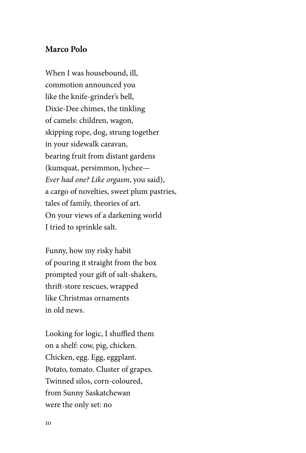#### **Marco Polo**

When I was housebound, ill, commotion announced you like the knife-grinder's bell, Dixie-Dee chimes, the tinkling of camels: children, wagon, skipping rope, dog, strung together in your sidewalk caravan, bearing fruit from distant gardens (kumquat, persimmon, lychee— *Ever had one? Like orgasm*, you said), a cargo of novelties, sweet plum pastries, tales of family, theories of art. On your views of a darkening world I tried to sprinkle salt.

Funny, how my risky habit of pouring it straight from the box prompted your gift of salt-shakers, thrift-store rescues, wrapped like Christmas ornaments in old news.

Looking for logic, I shuffled them on a shelf: cow, pig, chicken. Chicken, egg. Egg, eggplant. Potato, tomato. Cluster of grapes. Twinned silos, corn-coloured, from Sunny Saskatchewan were the only set: no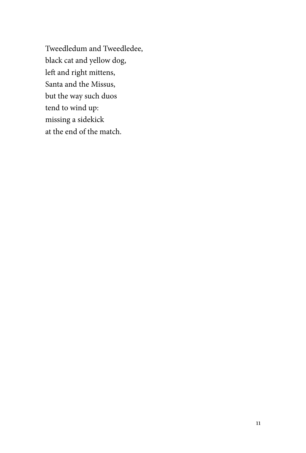Tweedledum and Tweedledee, black cat and yellow dog, left and right mittens, Santa and the Missus, but the way such duos tend to wind up: missing a sidekick at the end of the match.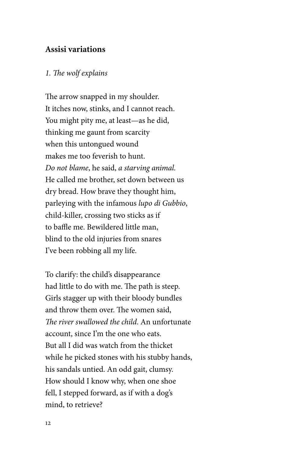#### **Assisi variations**

#### *1. The wolf explains*

The arrow snapped in my shoulder. It itches now, stinks, and I cannot reach. You might pity me, at least—as he did, thinking me gaunt from scarcity when this untongued wound makes me too feverish to hunt. *Do not blame*, he said, *a starving animal.* He called me brother, set down between us dry bread. How brave they thought him, parleying with the infamous *lupo di Gubbio*, child-killer, crossing two sticks as if to baffle me. Bewildered little man, blind to the old injuries from snares I've been robbing all my life.

To clarify: the child's disappearance had little to do with me. The path is steep. Girls stagger up with their bloody bundles and throw them over. The women said, *The river swallowed the child*. An unfortunate account, since I'm the one who eats. But all I did was watch from the thicket while he picked stones with his stubby hands, his sandals untied. An odd gait, clumsy. How should I know why, when one shoe fell, I stepped forward, as if with a dog's mind, to retrieve?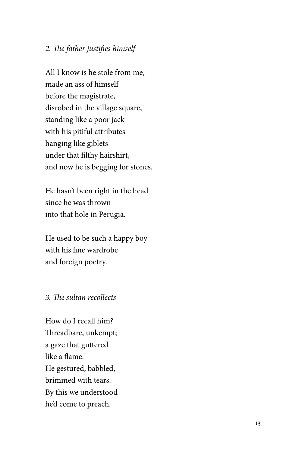#### *2. The father justifies himself*

All I know is he stole from me, made an ass of himself before the magistrate, disrobed in the village square, standing like a poor jack with his pitiful attributes hanging like giblets under that filthy hairshirt, and now he is begging for stones.

He hasn't been right in the head since he was thrown into that hole in Perugia.

He used to be such a happy boy with his fine wardrobe and foreign poetry.

#### *3. The sultan recollects*

How do I recall him? Threadbare, unkempt; a gaze that guttered like a flame. He gestured, babbled, brimmed with tears. By this we understood he'd come to preach.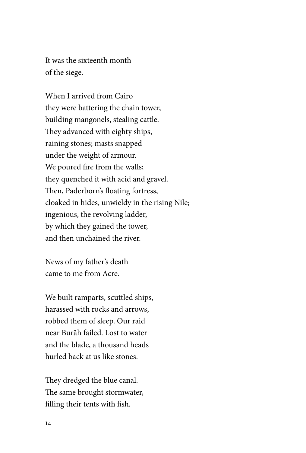It was the sixteenth month of the siege.

When I arrived from Cairo they were battering the chain tower, building mangonels, stealing cattle. They advanced with eighty ships, raining stones; masts snapped under the weight of armour. We poured fire from the walls; they quenched it with acid and gravel. Then, Paderborn's floating fortress, cloaked in hides, unwieldy in the rising Nile; ingenious, the revolving ladder, by which they gained the tower, and then unchained the river.

News of my father's death came to me from Acre.

We built ramparts, scuttled ships, harassed with rocks and arrows, robbed them of sleep. Our raid near Burāh failed. Lost to water and the blade, a thousand heads hurled back at us like stones.

They dredged the blue canal. The same brought stormwater, filling their tents with fish.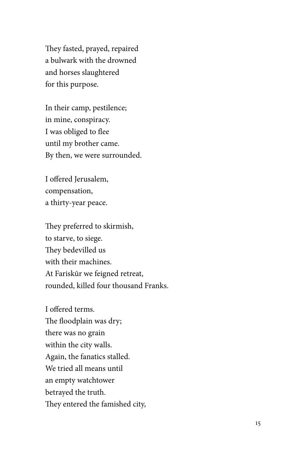They fasted, prayed, repaired a bulwark with the drowned and horses slaughtered for this purpose.

In their camp, pestilence; in mine, conspiracy. I was obliged to flee until my brother came. By then, we were surrounded.

I offered Jerusalem, compensation, a thirty-year peace.

They preferred to skirmish, to starve, to siege. They bedevilled us with their machines. At Fariskūr we feigned retreat, rounded, killed four thousand Franks.

I offered terms. The floodplain was dry; there was no grain within the city walls. Again, the fanatics stalled. We tried all means until an empty watchtower betrayed the truth. They entered the famished city,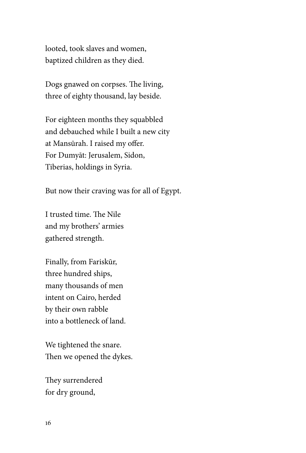looted, took slaves and women, baptized children as they died.

Dogs gnawed on corpses. The living, three of eighty thousand, lay beside.

For eighteen months they squabbled and debauched while I built a new city at Mansūrah. I raised my offer. For Dumyāt: Jerusalem, Sidon, Tiberias, holdings in Syria.

But now their craving was for all of Egypt.

I trusted time. The Nile and my brothers' armies gathered strength.

Finally, from Fariskūr, three hundred ships, many thousands of men intent on Cairo, herded by their own rabble into a bottleneck of land.

We tightened the snare. Then we opened the dykes.

They surrendered for dry ground,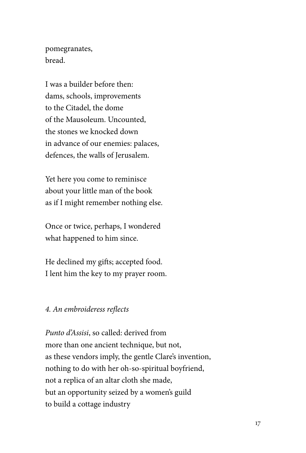pomegranates, bread.

I was a builder before then: dams, schools, improvements to the Citadel, the dome of the Mausoleum. Uncounted, the stones we knocked down in advance of our enemies: palaces, defences, the walls of Jerusalem.

Yet here you come to reminisce about your little man of the book as if I might remember nothing else.

Once or twice, perhaps, I wondered what happened to him since.

He declined my gifts; accepted food. I lent him the key to my prayer room.

#### *4. An embroideress reflects*

*Punto d'Assisi*, so called: derived from more than one ancient technique, but not, as these vendors imply, the gentle Clare's invention, nothing to do with her oh-so-spiritual boyfriend, not a replica of an altar cloth she made, but an opportunity seized by a women's guild to build a cottage industry